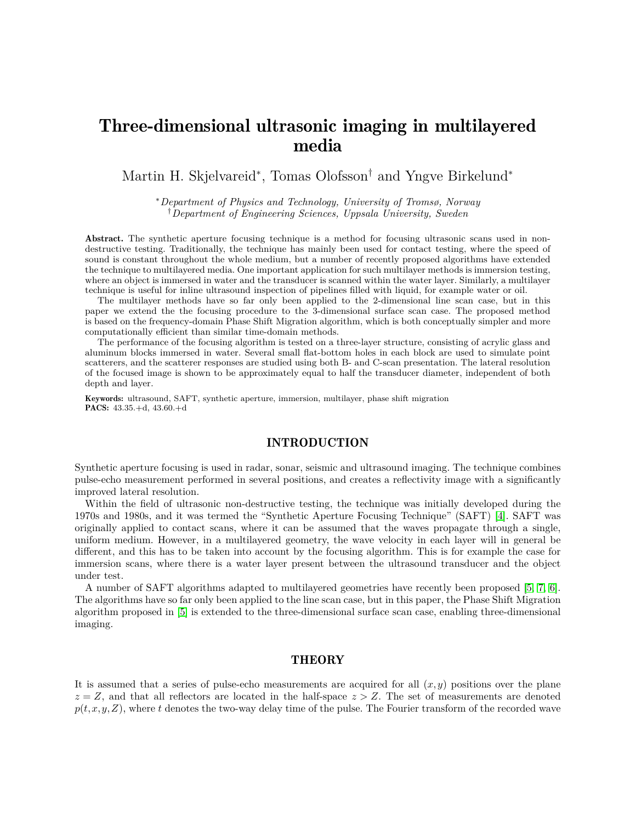# Three-dimensional ultrasonic imaging in multilayered media

Martin H. Skjelvareid<sup>∗</sup> , Tomas Olofsson† and Yngve Birkelund<sup>∗</sup>

<sup>∗</sup>*Department of Physics and Technology, University of Tromsø, Norway* †*Department of Engineering Sciences, Uppsala University, Sweden*

Abstract. The synthetic aperture focusing technique is a method for focusing ultrasonic scans used in nondestructive testing. Traditionally, the technique has mainly been used for contact testing, where the speed of sound is constant throughout the whole medium, but a number of recently proposed algorithms have extended the technique to multilayered media. One important application for such multilayer methods is immersion testing, where an object is immersed in water and the transducer is scanned within the water layer. Similarly, a multilayer technique is useful for inline ultrasound inspection of pipelines filled with liquid, for example water or oil.

The multilayer methods have so far only been applied to the 2-dimensional line scan case, but in this paper we extend the the focusing procedure to the 3-dimensional surface scan case. The proposed method is based on the frequency-domain Phase Shift Migration algorithm, which is both conceptually simpler and more computationally efficient than similar time-domain methods.

The performance of the focusing algorithm is tested on a three-layer structure, consisting of acrylic glass and aluminum blocks immersed in water. Several small flat-bottom holes in each block are used to simulate point scatterers, and the scatterer responses are studied using both B- and C-scan presentation. The lateral resolution of the focused image is shown to be approximately equal to half the transducer diameter, independent of both depth and layer.

Keywords: ultrasound, SAFT, synthetic aperture, immersion, multilayer, phase shift migration PACS: 43.35.+d, 43.60.+d

## INTRODUCTION

Synthetic aperture focusing is used in radar, sonar, seismic and ultrasound imaging. The technique combines pulse-echo measurement performed in several positions, and creates a reflectivity image with a significantly improved lateral resolution.

Within the field of ultrasonic non-destructive testing, the technique was initially developed during the 1970s and 1980s, and it was termed the "Synthetic Aperture Focusing Technique" (SAFT) [\[4\]](#page-3-0). SAFT was originally applied to contact scans, where it can be assumed that the waves propagate through a single, uniform medium. However, in a multilayered geometry, the wave velocity in each layer will in general be different, and this has to be taken into account by the focusing algorithm. This is for example the case for immersion scans, where there is a water layer present between the ultrasound transducer and the object under test.

A number of SAFT algorithms adapted to multilayered geometries have recently been proposed [\[5,](#page-3-1) [7,](#page-3-2) [6\]](#page-3-3). The algorithms have so far only been applied to the line scan case, but in this paper, the Phase Shift Migration algorithm proposed in [\[5\]](#page-3-1) is extended to the three-dimensional surface scan case, enabling three-dimensional imaging.

### **THEORY**

It is assumed that a series of pulse-echo measurements are acquired for all (*x,y*) positions over the plane  $z = Z$ , and that all reflectors are located in the half-space  $z > Z$ . The set of measurements are denoted  $p(t, x, y, Z)$ , where *t* denotes the two-way delay time of the pulse. The Fourier transform of the recorded wave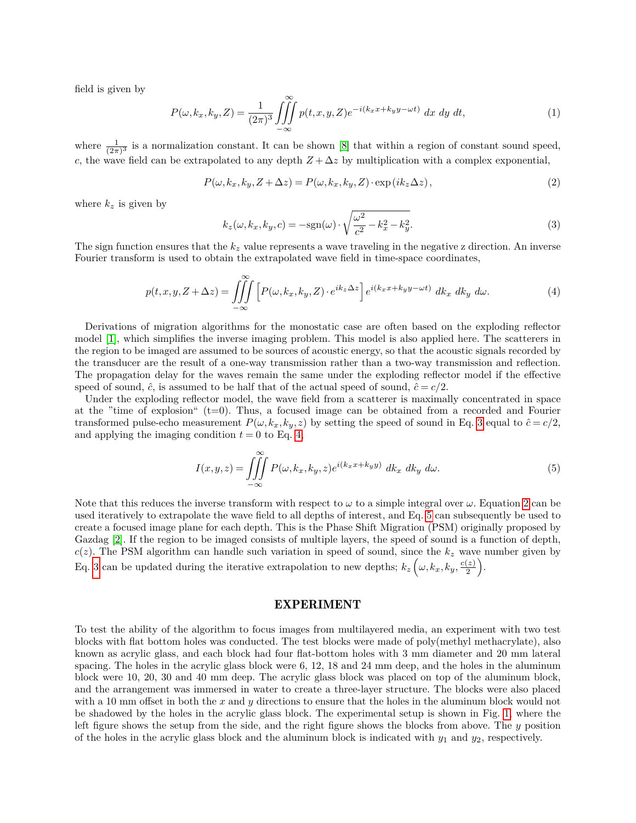field is given by

$$
P(\omega, k_x, k_y, Z) = \frac{1}{(2\pi)^3} \iiint\limits_{-\infty}^{\infty} p(t, x, y, Z) e^{-i(k_x x + k_y y - \omega t)} dx dy dt,
$$
\n(1)

where  $\frac{1}{(2\pi)^3}$  is a normalization constant. It can be shown [\[8\]](#page-3-4) that within a region of constant sound speed, *c*, the wave field can be extrapolated to any depth  $Z + \Delta z$  by multiplication with a complex exponential,

<span id="page-1-2"></span>
$$
P(\omega, k_x, k_y, Z + \Delta z) = P(\omega, k_x, k_y, Z) \cdot \exp(ik_z \Delta z), \qquad (2)
$$

where  $k_z$  is given by

<span id="page-1-0"></span>
$$
k_z(\omega, k_x, k_y, c) = -\text{sgn}(\omega) \cdot \sqrt{\frac{\omega^2}{c^2} - k_x^2 - k_y^2}.\tag{3}
$$

The sign function ensures that the *k<sup>z</sup>* value represents a wave traveling in the negative z direction. An inverse Fourier transform is used to obtain the extrapolated wave field in time-space coordinates,

<span id="page-1-1"></span>
$$
p(t, x, y, Z + \Delta z) = \iiint_{-\infty}^{\infty} \left[ P(\omega, k_x, k_y, Z) \cdot e^{ik_z \Delta z} \right] e^{i(k_x x + k_y y - \omega t)} \, dk_x \, dk_y \, d\omega. \tag{4}
$$

Derivations of migration algorithms for the monostatic case are often based on the exploding reflector model [\[1\]](#page-3-5), which simplifies the inverse imaging problem. This model is also applied here. The scatterers in the region to be imaged are assumed to be sources of acoustic energy, so that the acoustic signals recorded by the transducer are the result of a one-way transmission rather than a two-way transmission and reflection. The propagation delay for the waves remain the same under the exploding reflector model if the effective speed of sound,  $\hat{c}$ , is assumed to be half that of the actual speed of sound,  $\hat{c} = c/2$ .

Under the exploding reflector model, the wave field from a scatterer is maximally concentrated in space at the "time of explosion" (t=0). Thus, a focused image can be obtained from a recorded and Fourier transformed pulse-echo measurement  $P(\omega, k_x, k_y, z)$  by setting the speed of sound in Eq. [3](#page-1-0) equal to  $\hat{c} = c/2$ , and applying the imaging condition  $t = 0$  to Eq. [4,](#page-1-1)

<span id="page-1-3"></span>
$$
I(x,y,z) = \iiint\limits_{-\infty}^{\infty} P(\omega,k_x,k_y,z)e^{i(k_x x + k_y y)} \, dk_x \, dk_y \, d\omega. \tag{5}
$$

Note that this reduces the inverse transform with respect to  $\omega$  to a simple integral over  $\omega$ . Equation [2](#page-1-2) can be used iteratively to extrapolate the wave field to all depths of interest, and Eq. [5](#page-1-3) can subsequently be used to create a focused image plane for each depth. This is the Phase Shift Migration (PSM) originally proposed by Gazdag [\[2\]](#page-3-6). If the region to be imaged consists of multiple layers, the speed of sound is a function of depth,  $c(z)$ . The PSM algorithm can handle such variation in speed of sound, since the  $k_z$  wave number given by Eq. [3](#page-1-0) can be updated during the iterative extrapolation to new depths;  $k_z(\omega, k_x, k_y, \frac{c(z)}{2})$  $\frac{(z)}{2}\bigg).$ 

#### EXPERIMENT

To test the ability of the algorithm to focus images from multilayered media, an experiment with two test blocks with flat bottom holes was conducted. The test blocks were made of poly(methyl methacrylate), also known as acrylic glass, and each block had four flat-bottom holes with 3 mm diameter and 20 mm lateral spacing. The holes in the acrylic glass block were 6, 12, 18 and 24 mm deep, and the holes in the aluminum block were 10, 20, 30 and 40 mm deep. The acrylic glass block was placed on top of the aluminum block, and the arrangement was immersed in water to create a three-layer structure. The blocks were also placed with a 10 mm offset in both the *x* and *y* directions to ensure that the holes in the aluminum block would not be shadowed by the holes in the acrylic glass block. The experimental setup is shown in Fig. [1,](#page-2-0) where the left figure shows the setup from the side, and the right figure shows the blocks from above. The *y* position of the holes in the acrylic glass block and the aluminum block is indicated with *y*<sup>1</sup> and *y*2, respectively.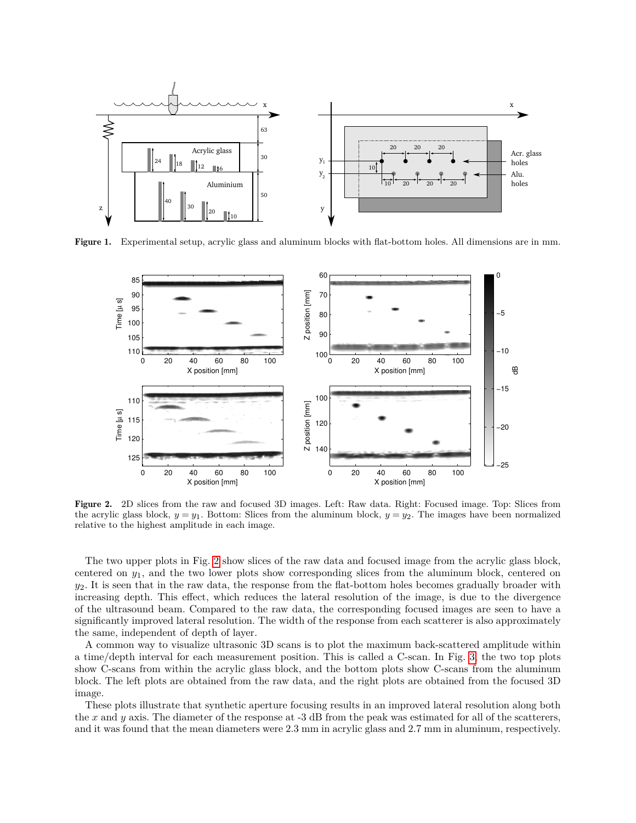

Figure 1. Experimental setup, acrylic glass and aluminum blocks with flat-bottom holes. All dimensions are in mm.

<span id="page-2-0"></span>

<span id="page-2-1"></span>Figure 2. 2D slices from the raw and focused 3D images. Left: Raw data. Right: Focused image. Top: Slices from the acrylic glass block,  $y = y_1$ . Bottom: Slices from the aluminum block,  $y = y_2$ . The images have been normalized relative to the highest amplitude in each image.

The two upper plots in Fig. [2](#page-2-1) show slices of the raw data and focused image from the acrylic glass block, centered on *y*1, and the two lower plots show corresponding slices from the aluminum block, centered on *y*2. It is seen that in the raw data, the response from the flat-bottom holes becomes gradually broader with increasing depth. This effect, which reduces the lateral resolution of the image, is due to the divergence of the ultrasound beam. Compared to the raw data, the corresponding focused images are seen to have a significantly improved lateral resolution. The width of the response from each scatterer is also approximately the same, independent of depth of layer.

A common way to visualize ultrasonic 3D scans is to plot the maximum back-scattered amplitude within a time/depth interval for each measurement position. This is called a C-scan. In Fig. [3,](#page-3-7) the two top plots show C-scans from within the acrylic glass block, and the bottom plots show C-scans from the aluminum block. The left plots are obtained from the raw data, and the right plots are obtained from the focused 3D image.

These plots illustrate that synthetic aperture focusing results in an improved lateral resolution along both the *x* and *y* axis. The diameter of the response at -3 dB from the peak was estimated for all of the scatterers, and it was found that the mean diameters were 2.3 mm in acrylic glass and 2.7 mm in aluminum, respectively.